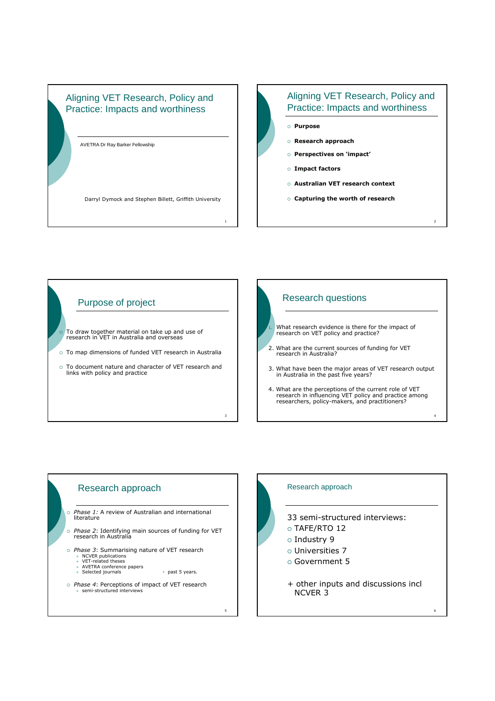## Aligning VET Research, Policy and Practice: Impacts and worthiness

AVETRA Dr Ray Barker Fellowship

Darryl Dymock and Stephen Billett, Griffith University

# Aligning VET Research, Policy and Practice: Impacts and worthiness Purpose Research approach Perspectives on 'impact' Impact factors

- 
- Australian VET research context
- Capturing the worth of research

2



1



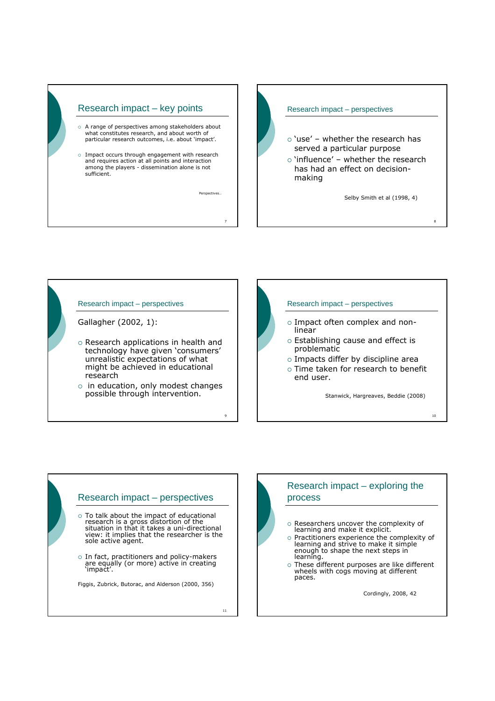



#### Research impact – perspectives

Gallagher (2002, 1):

- o Research applications in health and technology have given 'consumers' unrealistic expectations of what might be achieved in educational research
- $\circ$  in education, only modest changes possible through intervention.

9